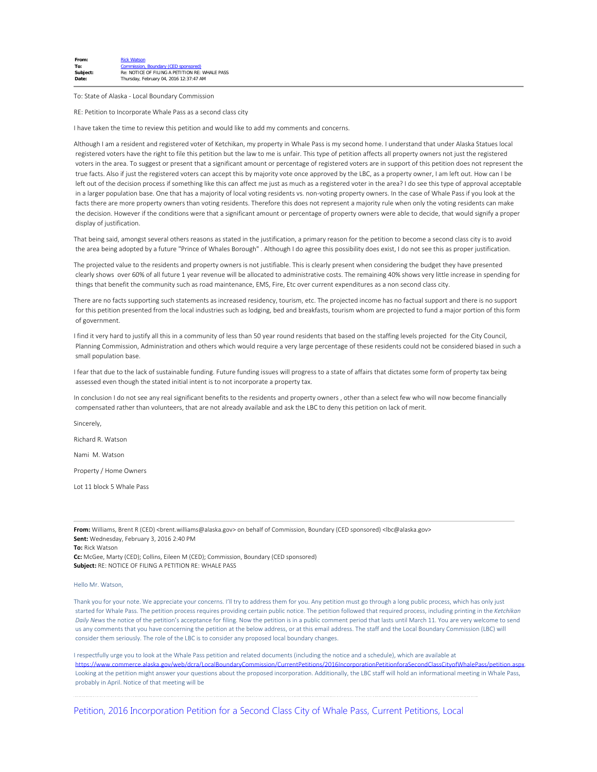| From:    | <b>Rick Watson</b>                             |
|----------|------------------------------------------------|
| To:      | Commission, Boundary (CED sponsored)           |
| Subject: | Re: NOTICE OF FILING A PETITION RE: WHALE PASS |
| Date:    | Thursday, February 04, 2016 12:37:47 AM        |

To: State of Alaska - Local Boundary Commission

RE: Petition to Incorporate Whale Pass as a second class city

I have taken the time to review this petition and would like to add my comments and concerns.

Although I am a resident and registered voter of Ketchikan, my property in Whale Pass is my second home. I understand that under Alaska Statues local registered voters have the right to file this petition but the law to me is unfair. This type of petition affects all property owners not just the registered voters in the area. To suggest or present that a significant amount or percentage of registered voters are in support of this petition does not represent the true facts. Also if just the registered voters can accept this by majority vote once approved by the LBC, as a property owner, I am left out. How can I be left out of the decision process if something like this can affect me just as much as a registered voter in the area? I do see this type of approval acceptable in a larger population base. One that has a majority of local voting residents vs. non-voting property owners. In the case of Whale Pass if you look at the facts there are more property owners than voting residents. Therefore this does not represent a majority rule when only the voting residents can make the decision. However if the conditions were that a significant amount or percentage of property owners were able to decide, that would signify a proper display of justification.

That being said, amongst several others reasons as stated in the justification, a primary reason for the petition to become a second class city is to avoid the area being adopted by a future "Prince of Whales Borough" . Although I do agree this possibility does exist, I do not see this as proper justification.

The projected value to the residents and property owners is not justifiable. This is clearly present when considering the budget they have presented clearly shows over 60% of all future 1 year revenue will be allocated to administrative costs. The remaining 40% shows very little increase in spending for things that benefit the community such as road maintenance, EMS, Fire, Etc over current expenditures as a non second class city.

There are no facts supporting such statements as increased residency, tourism, etc. The projected income has no factual support and there is no support for this petition presented from the local industries such as lodging, bed and breakfasts, tourism whom are projected to fund a major portion of this form of government.

I find it very hard to justify all this in a community of less than 50 year round residents that based on the staffing levels projected for the City Council, Planning Commission, Administration and others which would require a very large percentage of these residents could not be considered biased in such a small population base.

I fear that due to the lack of sustainable funding. Future funding issues will progress to a state of affairs that dictates some form of property tax being assessed even though the stated initial intent is to not incorporate a property tax.

In conclusion I do not see any real significant benefits to the residents and property owners , other than a select few who will now become financially compensated rather than volunteers, that are not already available and ask the LBC to deny this petition on lack of merit.

Sincerely,

Richard R. Watson

Nami M. Watson

Property / Home Owners

Lot 11 block 5 Whale Pass

From: Williams, Brent R (CED) <br />brent.williams@alaska.gov> on behalf of Commission, Boundary (CED sponsored) <lbc@alaska.gov> **Sent:** Wednesday, February 3, 2016 2:40 PM

**To:** Rick Watson

**Cc:** McGee, Marty (CED); Collins, Eileen M (CED); Commission, Boundary (CED sponsored) **Subject:** RE: NOTICE OF FILING A PETITION RE: WHALE PASS

## Hello Mr. Watson,

Thank you for your note. We appreciate your concerns. I'll try to address them for you. Any petition must go through a long public process, which has only just started for Whale Pass. The petition process requires providing certain public notice. The petition followed that required process, including printing in the *Ketchikan Daily News* the notice of the petition's acceptance for filing. Now the petition is in a public comment period that lasts until March 11. You are very welcome to send us any comments that you have concerning the petition at the below address, or at this email address. The staff and the Local Boundary Commission (LBC) will consider them seriously. The role of the LBC is to consider any proposed local boundary changes.

I respectfully urge you to look at the Whale Pass petition and related documents (including the notice and a schedule), which are available at [https://www.commerce.alaska.gov/web/dcra/LocalBoundaryCommission/CurrentPetitions/2016IncorporationPetitionforaSecondClassCityofWhalePass/petition.aspx.](https://www.commerce.alaska.gov/web/dcra/LocalBoundaryCommission/CurrentPetitions/2016IncorporationPetitionforaSecondClassCityofWhalePass/petition.aspx) Looking at the petition might answer your questions about the proposed incorporation. Additionally, the LBC staff will hold an informational meeting in Whale Pass, probably in April. Notice of that meeting will be

[Petition, 2016 Incorporation Petition for a Second Class City of Whale Pass, Current Petitions, Local](https://www.commerce.alaska.gov/web/dcra/LocalBoundaryCommission/CurrentPetitions/2016IncorporationPetitionforaSecondClassCityofWhalePass/petition.aspx)